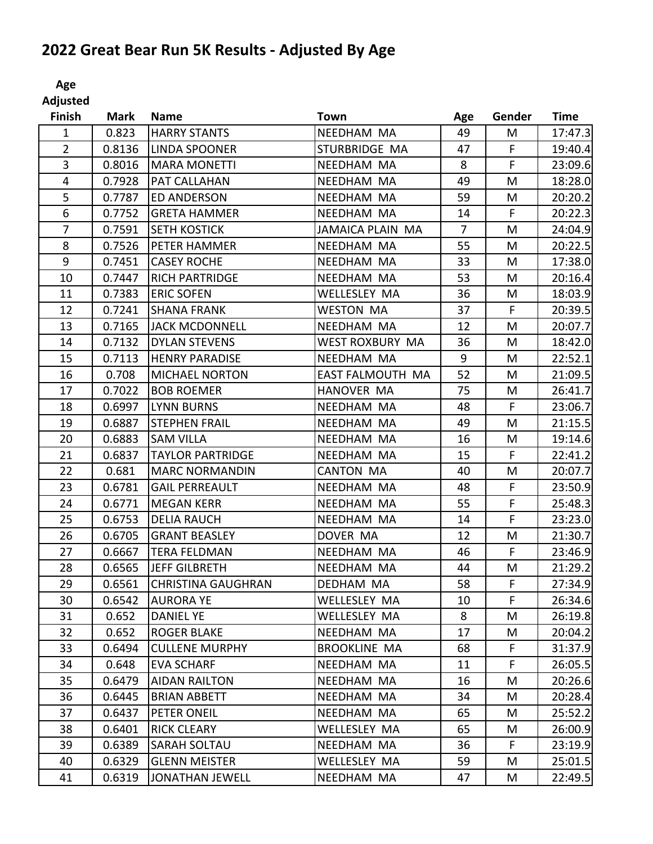## **2022 Great Bear Run 5K Results - Adjusted By Age**

**Age** 

| <b>Finish</b>  | <b>Mark</b> | <b>Name</b>               | Town                    | Age            | Gender       | <b>Time</b> |
|----------------|-------------|---------------------------|-------------------------|----------------|--------------|-------------|
| $\mathbf{1}$   | 0.823       | <b>HARRY STANTS</b>       | NEEDHAM MA              | 49             | M            | 17:47.3     |
| $\overline{2}$ | 0.8136      | <b>LINDA SPOONER</b>      | STURBRIDGE MA           | 47             | F            | 19:40.4     |
| $\overline{3}$ | 0.8016      | <b>MARA MONETTI</b>       | NEEDHAM MA              | 8              | F            | 23:09.6     |
| 4              | 0.7928      | <b>PAT CALLAHAN</b>       | NEEDHAM MA              | 49             | M            | 18:28.0     |
| 5              | 0.7787      | <b>ED ANDERSON</b>        | NEEDHAM MA              | 59             | M            | 20:20.2     |
| 6              | 0.7752      | <b>GRETA HAMMER</b>       | NEEDHAM MA              | 14             | F            | 20:22.3     |
| $\overline{7}$ | 0.7591      | <b>SETH KOSTICK</b>       | <b>JAMAICA PLAIN MA</b> | $\overline{7}$ | M            | 24:04.9     |
| 8              | 0.7526      | <b>PETER HAMMER</b>       | NEEDHAM MA              | 55             | M            | 20:22.5     |
| 9              | 0.7451      | <b>CASEY ROCHE</b>        | NEEDHAM MA              | 33             | M            | 17:38.0     |
| 10             | 0.7447      | <b>RICH PARTRIDGE</b>     | NEEDHAM MA              | 53             | M            | 20:16.4     |
| 11             | 0.7383      | <b>ERIC SOFEN</b>         | WELLESLEY MA            | 36             | M            | 18:03.9     |
| 12             | 0.7241      | <b>SHANA FRANK</b>        | <b>WESTON MA</b>        | 37             | F            | 20:39.5     |
| 13             | 0.7165      | <b>JACK MCDONNELL</b>     | NEEDHAM MA              | 12             | M            | 20:07.7     |
| 14             | 0.7132      | <b>DYLAN STEVENS</b>      | WEST ROXBURY MA         | 36             | M            | 18:42.0     |
| 15             | 0.7113      | <b>HENRY PARADISE</b>     | NEEDHAM MA              | 9              | M            | 22:52.1     |
| 16             | 0.708       | <b>MICHAEL NORTON</b>     | EAST FALMOUTH MA        | 52             | M            | 21:09.5     |
| 17             | 0.7022      | <b>BOB ROEMER</b>         | HANOVER MA              | 75             | M            | 26:41.7     |
| 18             | 0.6997      | <b>LYNN BURNS</b>         | NEEDHAM MA              | 48             | F.           | 23:06.7     |
| 19             | 0.6887      | <b>STEPHEN FRAIL</b>      | NEEDHAM MA              | 49             | M            | 21:15.5     |
| 20             | 0.6883      | <b>SAM VILLA</b>          | NEEDHAM MA              | 16             | M            | 19:14.6     |
| 21             | 0.6837      | <b>TAYLOR PARTRIDGE</b>   | NEEDHAM MA              | 15             | F.           | 22:41.2     |
| 22             | 0.681       | <b>MARC NORMANDIN</b>     | <b>CANTON MA</b>        | 40             | M            | 20:07.7     |
| 23             | 0.6781      | <b>GAIL PERREAULT</b>     | NEEDHAM MA              | 48             | F.           | 23:50.9     |
| 24             | 0.6771      | <b>MEGAN KERR</b>         | NEEDHAM MA              | 55             | $\mathsf{F}$ | 25:48.3     |
| 25             | 0.6753      | <b>DELIA RAUCH</b>        | NEEDHAM MA              | 14             | $\mathsf F$  | 23:23.0     |
| 26             | 0.6705      | <b>GRANT BEASLEY</b>      | DOVER MA                | 12             | M            | 21:30.7     |
| 27             | 0.6667      | <b>TERA FELDMAN</b>       | NEEDHAM MA              | 46             | F            | 23:46.9     |
| 28             | 0.6565      | <b>JEFF GILBRETH</b>      | NEEDHAM MA              | 44             | M            | 21:29.2     |
| 29             | 0.6561      | <b>CHRISTINA GAUGHRAN</b> | DEDHAM MA               | 58             | F.           | 27:34.9     |
| 30             | 0.6542      | AURORA YE                 | WELLESLEY MA            | 10             | F.           | 26:34.6     |
| 31             | 0.652       | <b>DANIEL YE</b>          | <b>WELLESLEY MA</b>     | 8              | M            | 26:19.8     |
| 32             | 0.652       | <b>ROGER BLAKE</b>        | NEEDHAM MA              | 17             | M            | 20:04.2     |
| 33             | 0.6494      | <b>CULLENE MURPHY</b>     | <b>BROOKLINE MA</b>     | 68             | F.           | 31:37.9     |
| 34             | 0.648       | <b>EVA SCHARF</b>         | NEEDHAM MA              | 11             | F            | 26:05.5     |
| 35             | 0.6479      | <b>AIDAN RAILTON</b>      | NEEDHAM MA              | 16             | M            | 20:26.6     |
| 36             | 0.6445      | <b>BRIAN ABBETT</b>       | NEEDHAM MA              | 34             | M            | 20:28.4     |
| 37             | 0.6437      | PETER ONEIL               | NEEDHAM MA              | 65             | M            | 25:52.2     |
| 38             | 0.6401      | <b>RICK CLEARY</b>        | WELLESLEY MA            | 65             | M            | 26:00.9     |
| 39             | 0.6389      | SARAH SOLTAU              | NEEDHAM MA              | 36             | F.           | 23:19.9     |
| 40             | 0.6329      | <b>GLENN MEISTER</b>      | WELLESLEY MA            | 59             | M            | 25:01.5     |
| 41             | 0.6319      | <b>JONATHAN JEWELL</b>    | NEEDHAM MA              | 47             | M            | 22:49.5     |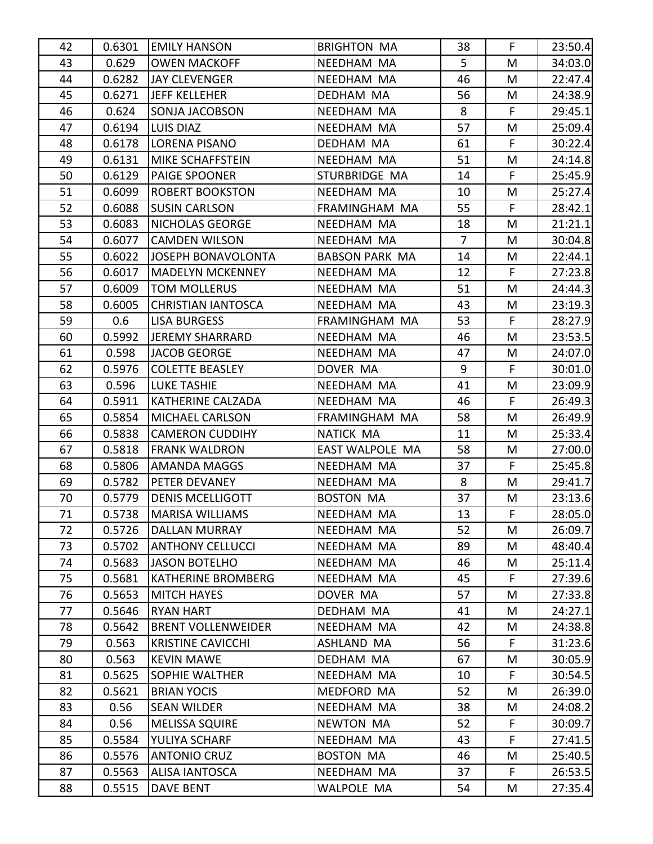| F.<br>38<br>42<br>0.6301<br><b>EMILY HANSON</b><br><b>BRIGHTON MA</b><br>5<br>43<br>0.629<br>M<br><b>OWEN MACKOFF</b><br>NEEDHAM MA<br>0.6282<br>46<br>44<br><b>JAY CLEVENGER</b><br>NEEDHAM MA<br>M<br>56<br>45<br><b>JEFF KELLEHER</b><br>DEDHAM MA<br>0.6271<br>M<br>F<br>8<br>46<br>0.624<br>SONJA JACOBSON<br>NEEDHAM MA<br>57<br>47<br>M<br>0.6194<br><b>LUIS DIAZ</b><br>NEEDHAM MA<br>F<br>48<br>0.6178<br><b>LORENA PISANO</b><br>61<br>DEDHAM MA<br>49<br>MIKE SCHAFFSTEIN<br>51<br>0.6131<br>NEEDHAM MA<br>M<br>F<br>50<br>0.6129<br><b>PAIGE SPOONER</b><br>14<br>STURBRIDGE MA<br>51<br>0.6099<br><b>ROBERT BOOKSTON</b><br>10<br>M<br>NEEDHAM MA<br>F<br>52<br><b>SUSIN CARLSON</b><br>55<br>0.6088<br>FRAMINGHAM MA<br>53<br>18<br>0.6083<br><b>NICHOLAS GEORGE</b><br>M<br>NEEDHAM MA<br>$\overline{7}$<br>54<br>0.6077<br><b>CAMDEN WILSON</b><br>NEEDHAM MA<br>M<br>55<br>0.6022<br><b>JOSEPH BONAVOLONTA</b><br><b>BABSON PARK MA</b><br>14<br>M<br>12<br>F<br>56<br>0.6017<br><b>MADELYN MCKENNEY</b><br>NEEDHAM MA<br>57<br>0.6009<br><b>TOM MOLLERUS</b><br>51<br>M<br>NEEDHAM MA<br>58<br>43<br>M<br>0.6005<br><b>CHRISTIAN IANTOSCA</b><br>NEEDHAM MA<br>F<br>59<br>0.6<br>53<br><b>LISA BURGESS</b><br>FRAMINGHAM MA<br>60<br>0.5992<br>46<br>M<br><b>JEREMY SHARRARD</b><br>NEEDHAM MA<br>61<br>47<br>0.598<br><b>JACOB GEORGE</b><br>NEEDHAM MA<br>M<br>9<br>F<br>62<br>DOVER MA<br>0.5976<br><b>COLETTE BEASLEY</b><br>63<br>41<br>0.596<br><b>LUKE TASHIE</b><br>NEEDHAM MA<br>M<br>46<br>F<br>64<br>KATHERINE CALZADA<br>NEEDHAM MA<br>0.5911<br>58<br>65<br>0.5854<br><b>MICHAEL CARLSON</b><br>FRAMINGHAM MA<br>M<br>66<br>0.5838<br><b>CAMERON CUDDIHY</b><br><b>NATICK MA</b><br>11<br>M<br>67<br>58<br>0.5818<br><b>FRANK WALDRON</b><br>EAST WALPOLE MA<br>M<br>F<br>37<br>68<br>0.5806<br><b>AMANDA MAGGS</b><br>NEEDHAM MA<br>8<br>69<br>0.5782<br>PETER DEVANEY<br>NEEDHAM MA<br>M<br>37<br>70<br><b>BOSTON MA</b><br>0.5779<br><b>DENIS MCELLIGOTT</b><br>M<br>F.<br>71<br><b>MARISA WILLIAMS</b><br>NEEDHAM MA<br>13<br>0.5738<br>72<br>52<br>0.5726<br><b>DALLAN MURRAY</b><br>NEEDHAM MA<br>M<br>73<br>0.5702<br><b>ANTHONY CELLUCCI</b><br>NEEDHAM MA<br>89<br>M<br>74<br>0.5683<br><b>JASON BOTELHO</b><br>NEEDHAM MA<br>46<br>M<br>0.5681<br>F<br>75<br><b>KATHERINE BROMBERG</b><br>NEEDHAM MA<br>45<br>76<br><b>MITCH HAYES</b><br>DOVER MA<br>0.5653<br>57<br>M<br>77<br>0.5646<br><b>RYAN HART</b><br>DEDHAM MA<br>41<br>M<br>78<br>0.5642<br><b>BRENT VOLLENWEIDER</b><br>NEEDHAM MA<br>42<br>M<br>F<br>79<br>56<br>0.563<br><b>KRISTINE CAVICCHI</b><br>ASHLAND MA<br>80<br>0.563<br><b>KEVIN MAWE</b><br>DEDHAM MA<br>67<br>M<br>F.<br>81<br>0.5625<br><b>SOPHIE WALTHER</b><br>NEEDHAM MA<br>10<br>82<br>0.5621<br><b>BRIAN YOCIS</b><br>MEDFORD MA<br>52<br>M<br>83<br>38<br>0.56<br><b>SEAN WILDER</b><br>NEEDHAM MA<br>M<br>52<br>F.<br>84<br>0.56<br><b>MELISSA SQUIRE</b><br>NEWTON MA<br>F.<br>85<br>0.5584<br>YULIYA SCHARF<br>NEEDHAM MA<br>43<br><b>BOSTON MA</b><br>86<br>0.5576<br><b>ANTONIO CRUZ</b><br>46<br>M<br>87<br>37<br>F.<br>0.5563<br><b>ALISA IANTOSCA</b><br>NEEDHAM MA<br>88<br>0.5515<br><b>DAVE BENT</b><br>WALPOLE MA<br>54<br>M |  |  |  |         |
|--------------------------------------------------------------------------------------------------------------------------------------------------------------------------------------------------------------------------------------------------------------------------------------------------------------------------------------------------------------------------------------------------------------------------------------------------------------------------------------------------------------------------------------------------------------------------------------------------------------------------------------------------------------------------------------------------------------------------------------------------------------------------------------------------------------------------------------------------------------------------------------------------------------------------------------------------------------------------------------------------------------------------------------------------------------------------------------------------------------------------------------------------------------------------------------------------------------------------------------------------------------------------------------------------------------------------------------------------------------------------------------------------------------------------------------------------------------------------------------------------------------------------------------------------------------------------------------------------------------------------------------------------------------------------------------------------------------------------------------------------------------------------------------------------------------------------------------------------------------------------------------------------------------------------------------------------------------------------------------------------------------------------------------------------------------------------------------------------------------------------------------------------------------------------------------------------------------------------------------------------------------------------------------------------------------------------------------------------------------------------------------------------------------------------------------------------------------------------------------------------------------------------------------------------------------------------------------------------------------------------------------------------------------------------------------------------------------------------------------------------------------------------------------------------------------------------------------------------------------------------------------------------------------------------------------------------------------------------------------------------------------------------------------------------------------------------------------------------------------------------------------------------------------------------------------------------------------------|--|--|--|---------|
|                                                                                                                                                                                                                                                                                                                                                                                                                                                                                                                                                                                                                                                                                                                                                                                                                                                                                                                                                                                                                                                                                                                                                                                                                                                                                                                                                                                                                                                                                                                                                                                                                                                                                                                                                                                                                                                                                                                                                                                                                                                                                                                                                                                                                                                                                                                                                                                                                                                                                                                                                                                                                                                                                                                                                                                                                                                                                                                                                                                                                                                                                                                                                                                                                    |  |  |  | 23:50.4 |
|                                                                                                                                                                                                                                                                                                                                                                                                                                                                                                                                                                                                                                                                                                                                                                                                                                                                                                                                                                                                                                                                                                                                                                                                                                                                                                                                                                                                                                                                                                                                                                                                                                                                                                                                                                                                                                                                                                                                                                                                                                                                                                                                                                                                                                                                                                                                                                                                                                                                                                                                                                                                                                                                                                                                                                                                                                                                                                                                                                                                                                                                                                                                                                                                                    |  |  |  | 34:03.0 |
|                                                                                                                                                                                                                                                                                                                                                                                                                                                                                                                                                                                                                                                                                                                                                                                                                                                                                                                                                                                                                                                                                                                                                                                                                                                                                                                                                                                                                                                                                                                                                                                                                                                                                                                                                                                                                                                                                                                                                                                                                                                                                                                                                                                                                                                                                                                                                                                                                                                                                                                                                                                                                                                                                                                                                                                                                                                                                                                                                                                                                                                                                                                                                                                                                    |  |  |  | 22:47.4 |
|                                                                                                                                                                                                                                                                                                                                                                                                                                                                                                                                                                                                                                                                                                                                                                                                                                                                                                                                                                                                                                                                                                                                                                                                                                                                                                                                                                                                                                                                                                                                                                                                                                                                                                                                                                                                                                                                                                                                                                                                                                                                                                                                                                                                                                                                                                                                                                                                                                                                                                                                                                                                                                                                                                                                                                                                                                                                                                                                                                                                                                                                                                                                                                                                                    |  |  |  | 24:38.9 |
|                                                                                                                                                                                                                                                                                                                                                                                                                                                                                                                                                                                                                                                                                                                                                                                                                                                                                                                                                                                                                                                                                                                                                                                                                                                                                                                                                                                                                                                                                                                                                                                                                                                                                                                                                                                                                                                                                                                                                                                                                                                                                                                                                                                                                                                                                                                                                                                                                                                                                                                                                                                                                                                                                                                                                                                                                                                                                                                                                                                                                                                                                                                                                                                                                    |  |  |  | 29:45.1 |
|                                                                                                                                                                                                                                                                                                                                                                                                                                                                                                                                                                                                                                                                                                                                                                                                                                                                                                                                                                                                                                                                                                                                                                                                                                                                                                                                                                                                                                                                                                                                                                                                                                                                                                                                                                                                                                                                                                                                                                                                                                                                                                                                                                                                                                                                                                                                                                                                                                                                                                                                                                                                                                                                                                                                                                                                                                                                                                                                                                                                                                                                                                                                                                                                                    |  |  |  | 25:09.4 |
|                                                                                                                                                                                                                                                                                                                                                                                                                                                                                                                                                                                                                                                                                                                                                                                                                                                                                                                                                                                                                                                                                                                                                                                                                                                                                                                                                                                                                                                                                                                                                                                                                                                                                                                                                                                                                                                                                                                                                                                                                                                                                                                                                                                                                                                                                                                                                                                                                                                                                                                                                                                                                                                                                                                                                                                                                                                                                                                                                                                                                                                                                                                                                                                                                    |  |  |  | 30:22.4 |
|                                                                                                                                                                                                                                                                                                                                                                                                                                                                                                                                                                                                                                                                                                                                                                                                                                                                                                                                                                                                                                                                                                                                                                                                                                                                                                                                                                                                                                                                                                                                                                                                                                                                                                                                                                                                                                                                                                                                                                                                                                                                                                                                                                                                                                                                                                                                                                                                                                                                                                                                                                                                                                                                                                                                                                                                                                                                                                                                                                                                                                                                                                                                                                                                                    |  |  |  | 24:14.8 |
|                                                                                                                                                                                                                                                                                                                                                                                                                                                                                                                                                                                                                                                                                                                                                                                                                                                                                                                                                                                                                                                                                                                                                                                                                                                                                                                                                                                                                                                                                                                                                                                                                                                                                                                                                                                                                                                                                                                                                                                                                                                                                                                                                                                                                                                                                                                                                                                                                                                                                                                                                                                                                                                                                                                                                                                                                                                                                                                                                                                                                                                                                                                                                                                                                    |  |  |  | 25:45.9 |
|                                                                                                                                                                                                                                                                                                                                                                                                                                                                                                                                                                                                                                                                                                                                                                                                                                                                                                                                                                                                                                                                                                                                                                                                                                                                                                                                                                                                                                                                                                                                                                                                                                                                                                                                                                                                                                                                                                                                                                                                                                                                                                                                                                                                                                                                                                                                                                                                                                                                                                                                                                                                                                                                                                                                                                                                                                                                                                                                                                                                                                                                                                                                                                                                                    |  |  |  | 25:27.4 |
|                                                                                                                                                                                                                                                                                                                                                                                                                                                                                                                                                                                                                                                                                                                                                                                                                                                                                                                                                                                                                                                                                                                                                                                                                                                                                                                                                                                                                                                                                                                                                                                                                                                                                                                                                                                                                                                                                                                                                                                                                                                                                                                                                                                                                                                                                                                                                                                                                                                                                                                                                                                                                                                                                                                                                                                                                                                                                                                                                                                                                                                                                                                                                                                                                    |  |  |  | 28:42.1 |
|                                                                                                                                                                                                                                                                                                                                                                                                                                                                                                                                                                                                                                                                                                                                                                                                                                                                                                                                                                                                                                                                                                                                                                                                                                                                                                                                                                                                                                                                                                                                                                                                                                                                                                                                                                                                                                                                                                                                                                                                                                                                                                                                                                                                                                                                                                                                                                                                                                                                                                                                                                                                                                                                                                                                                                                                                                                                                                                                                                                                                                                                                                                                                                                                                    |  |  |  | 21:21.1 |
|                                                                                                                                                                                                                                                                                                                                                                                                                                                                                                                                                                                                                                                                                                                                                                                                                                                                                                                                                                                                                                                                                                                                                                                                                                                                                                                                                                                                                                                                                                                                                                                                                                                                                                                                                                                                                                                                                                                                                                                                                                                                                                                                                                                                                                                                                                                                                                                                                                                                                                                                                                                                                                                                                                                                                                                                                                                                                                                                                                                                                                                                                                                                                                                                                    |  |  |  | 30:04.8 |
|                                                                                                                                                                                                                                                                                                                                                                                                                                                                                                                                                                                                                                                                                                                                                                                                                                                                                                                                                                                                                                                                                                                                                                                                                                                                                                                                                                                                                                                                                                                                                                                                                                                                                                                                                                                                                                                                                                                                                                                                                                                                                                                                                                                                                                                                                                                                                                                                                                                                                                                                                                                                                                                                                                                                                                                                                                                                                                                                                                                                                                                                                                                                                                                                                    |  |  |  | 22:44.1 |
|                                                                                                                                                                                                                                                                                                                                                                                                                                                                                                                                                                                                                                                                                                                                                                                                                                                                                                                                                                                                                                                                                                                                                                                                                                                                                                                                                                                                                                                                                                                                                                                                                                                                                                                                                                                                                                                                                                                                                                                                                                                                                                                                                                                                                                                                                                                                                                                                                                                                                                                                                                                                                                                                                                                                                                                                                                                                                                                                                                                                                                                                                                                                                                                                                    |  |  |  | 27:23.8 |
|                                                                                                                                                                                                                                                                                                                                                                                                                                                                                                                                                                                                                                                                                                                                                                                                                                                                                                                                                                                                                                                                                                                                                                                                                                                                                                                                                                                                                                                                                                                                                                                                                                                                                                                                                                                                                                                                                                                                                                                                                                                                                                                                                                                                                                                                                                                                                                                                                                                                                                                                                                                                                                                                                                                                                                                                                                                                                                                                                                                                                                                                                                                                                                                                                    |  |  |  | 24:44.3 |
|                                                                                                                                                                                                                                                                                                                                                                                                                                                                                                                                                                                                                                                                                                                                                                                                                                                                                                                                                                                                                                                                                                                                                                                                                                                                                                                                                                                                                                                                                                                                                                                                                                                                                                                                                                                                                                                                                                                                                                                                                                                                                                                                                                                                                                                                                                                                                                                                                                                                                                                                                                                                                                                                                                                                                                                                                                                                                                                                                                                                                                                                                                                                                                                                                    |  |  |  | 23:19.3 |
|                                                                                                                                                                                                                                                                                                                                                                                                                                                                                                                                                                                                                                                                                                                                                                                                                                                                                                                                                                                                                                                                                                                                                                                                                                                                                                                                                                                                                                                                                                                                                                                                                                                                                                                                                                                                                                                                                                                                                                                                                                                                                                                                                                                                                                                                                                                                                                                                                                                                                                                                                                                                                                                                                                                                                                                                                                                                                                                                                                                                                                                                                                                                                                                                                    |  |  |  | 28:27.9 |
|                                                                                                                                                                                                                                                                                                                                                                                                                                                                                                                                                                                                                                                                                                                                                                                                                                                                                                                                                                                                                                                                                                                                                                                                                                                                                                                                                                                                                                                                                                                                                                                                                                                                                                                                                                                                                                                                                                                                                                                                                                                                                                                                                                                                                                                                                                                                                                                                                                                                                                                                                                                                                                                                                                                                                                                                                                                                                                                                                                                                                                                                                                                                                                                                                    |  |  |  | 23:53.5 |
|                                                                                                                                                                                                                                                                                                                                                                                                                                                                                                                                                                                                                                                                                                                                                                                                                                                                                                                                                                                                                                                                                                                                                                                                                                                                                                                                                                                                                                                                                                                                                                                                                                                                                                                                                                                                                                                                                                                                                                                                                                                                                                                                                                                                                                                                                                                                                                                                                                                                                                                                                                                                                                                                                                                                                                                                                                                                                                                                                                                                                                                                                                                                                                                                                    |  |  |  | 24:07.0 |
|                                                                                                                                                                                                                                                                                                                                                                                                                                                                                                                                                                                                                                                                                                                                                                                                                                                                                                                                                                                                                                                                                                                                                                                                                                                                                                                                                                                                                                                                                                                                                                                                                                                                                                                                                                                                                                                                                                                                                                                                                                                                                                                                                                                                                                                                                                                                                                                                                                                                                                                                                                                                                                                                                                                                                                                                                                                                                                                                                                                                                                                                                                                                                                                                                    |  |  |  | 30:01.0 |
|                                                                                                                                                                                                                                                                                                                                                                                                                                                                                                                                                                                                                                                                                                                                                                                                                                                                                                                                                                                                                                                                                                                                                                                                                                                                                                                                                                                                                                                                                                                                                                                                                                                                                                                                                                                                                                                                                                                                                                                                                                                                                                                                                                                                                                                                                                                                                                                                                                                                                                                                                                                                                                                                                                                                                                                                                                                                                                                                                                                                                                                                                                                                                                                                                    |  |  |  | 23:09.9 |
|                                                                                                                                                                                                                                                                                                                                                                                                                                                                                                                                                                                                                                                                                                                                                                                                                                                                                                                                                                                                                                                                                                                                                                                                                                                                                                                                                                                                                                                                                                                                                                                                                                                                                                                                                                                                                                                                                                                                                                                                                                                                                                                                                                                                                                                                                                                                                                                                                                                                                                                                                                                                                                                                                                                                                                                                                                                                                                                                                                                                                                                                                                                                                                                                                    |  |  |  | 26:49.3 |
|                                                                                                                                                                                                                                                                                                                                                                                                                                                                                                                                                                                                                                                                                                                                                                                                                                                                                                                                                                                                                                                                                                                                                                                                                                                                                                                                                                                                                                                                                                                                                                                                                                                                                                                                                                                                                                                                                                                                                                                                                                                                                                                                                                                                                                                                                                                                                                                                                                                                                                                                                                                                                                                                                                                                                                                                                                                                                                                                                                                                                                                                                                                                                                                                                    |  |  |  | 26:49.9 |
|                                                                                                                                                                                                                                                                                                                                                                                                                                                                                                                                                                                                                                                                                                                                                                                                                                                                                                                                                                                                                                                                                                                                                                                                                                                                                                                                                                                                                                                                                                                                                                                                                                                                                                                                                                                                                                                                                                                                                                                                                                                                                                                                                                                                                                                                                                                                                                                                                                                                                                                                                                                                                                                                                                                                                                                                                                                                                                                                                                                                                                                                                                                                                                                                                    |  |  |  | 25:33.4 |
|                                                                                                                                                                                                                                                                                                                                                                                                                                                                                                                                                                                                                                                                                                                                                                                                                                                                                                                                                                                                                                                                                                                                                                                                                                                                                                                                                                                                                                                                                                                                                                                                                                                                                                                                                                                                                                                                                                                                                                                                                                                                                                                                                                                                                                                                                                                                                                                                                                                                                                                                                                                                                                                                                                                                                                                                                                                                                                                                                                                                                                                                                                                                                                                                                    |  |  |  | 27:00.0 |
|                                                                                                                                                                                                                                                                                                                                                                                                                                                                                                                                                                                                                                                                                                                                                                                                                                                                                                                                                                                                                                                                                                                                                                                                                                                                                                                                                                                                                                                                                                                                                                                                                                                                                                                                                                                                                                                                                                                                                                                                                                                                                                                                                                                                                                                                                                                                                                                                                                                                                                                                                                                                                                                                                                                                                                                                                                                                                                                                                                                                                                                                                                                                                                                                                    |  |  |  | 25:45.8 |
|                                                                                                                                                                                                                                                                                                                                                                                                                                                                                                                                                                                                                                                                                                                                                                                                                                                                                                                                                                                                                                                                                                                                                                                                                                                                                                                                                                                                                                                                                                                                                                                                                                                                                                                                                                                                                                                                                                                                                                                                                                                                                                                                                                                                                                                                                                                                                                                                                                                                                                                                                                                                                                                                                                                                                                                                                                                                                                                                                                                                                                                                                                                                                                                                                    |  |  |  | 29:41.7 |
|                                                                                                                                                                                                                                                                                                                                                                                                                                                                                                                                                                                                                                                                                                                                                                                                                                                                                                                                                                                                                                                                                                                                                                                                                                                                                                                                                                                                                                                                                                                                                                                                                                                                                                                                                                                                                                                                                                                                                                                                                                                                                                                                                                                                                                                                                                                                                                                                                                                                                                                                                                                                                                                                                                                                                                                                                                                                                                                                                                                                                                                                                                                                                                                                                    |  |  |  | 23:13.6 |
|                                                                                                                                                                                                                                                                                                                                                                                                                                                                                                                                                                                                                                                                                                                                                                                                                                                                                                                                                                                                                                                                                                                                                                                                                                                                                                                                                                                                                                                                                                                                                                                                                                                                                                                                                                                                                                                                                                                                                                                                                                                                                                                                                                                                                                                                                                                                                                                                                                                                                                                                                                                                                                                                                                                                                                                                                                                                                                                                                                                                                                                                                                                                                                                                                    |  |  |  | 28:05.0 |
|                                                                                                                                                                                                                                                                                                                                                                                                                                                                                                                                                                                                                                                                                                                                                                                                                                                                                                                                                                                                                                                                                                                                                                                                                                                                                                                                                                                                                                                                                                                                                                                                                                                                                                                                                                                                                                                                                                                                                                                                                                                                                                                                                                                                                                                                                                                                                                                                                                                                                                                                                                                                                                                                                                                                                                                                                                                                                                                                                                                                                                                                                                                                                                                                                    |  |  |  | 26:09.7 |
|                                                                                                                                                                                                                                                                                                                                                                                                                                                                                                                                                                                                                                                                                                                                                                                                                                                                                                                                                                                                                                                                                                                                                                                                                                                                                                                                                                                                                                                                                                                                                                                                                                                                                                                                                                                                                                                                                                                                                                                                                                                                                                                                                                                                                                                                                                                                                                                                                                                                                                                                                                                                                                                                                                                                                                                                                                                                                                                                                                                                                                                                                                                                                                                                                    |  |  |  | 48:40.4 |
|                                                                                                                                                                                                                                                                                                                                                                                                                                                                                                                                                                                                                                                                                                                                                                                                                                                                                                                                                                                                                                                                                                                                                                                                                                                                                                                                                                                                                                                                                                                                                                                                                                                                                                                                                                                                                                                                                                                                                                                                                                                                                                                                                                                                                                                                                                                                                                                                                                                                                                                                                                                                                                                                                                                                                                                                                                                                                                                                                                                                                                                                                                                                                                                                                    |  |  |  | 25:11.4 |
|                                                                                                                                                                                                                                                                                                                                                                                                                                                                                                                                                                                                                                                                                                                                                                                                                                                                                                                                                                                                                                                                                                                                                                                                                                                                                                                                                                                                                                                                                                                                                                                                                                                                                                                                                                                                                                                                                                                                                                                                                                                                                                                                                                                                                                                                                                                                                                                                                                                                                                                                                                                                                                                                                                                                                                                                                                                                                                                                                                                                                                                                                                                                                                                                                    |  |  |  | 27:39.6 |
|                                                                                                                                                                                                                                                                                                                                                                                                                                                                                                                                                                                                                                                                                                                                                                                                                                                                                                                                                                                                                                                                                                                                                                                                                                                                                                                                                                                                                                                                                                                                                                                                                                                                                                                                                                                                                                                                                                                                                                                                                                                                                                                                                                                                                                                                                                                                                                                                                                                                                                                                                                                                                                                                                                                                                                                                                                                                                                                                                                                                                                                                                                                                                                                                                    |  |  |  | 27:33.8 |
|                                                                                                                                                                                                                                                                                                                                                                                                                                                                                                                                                                                                                                                                                                                                                                                                                                                                                                                                                                                                                                                                                                                                                                                                                                                                                                                                                                                                                                                                                                                                                                                                                                                                                                                                                                                                                                                                                                                                                                                                                                                                                                                                                                                                                                                                                                                                                                                                                                                                                                                                                                                                                                                                                                                                                                                                                                                                                                                                                                                                                                                                                                                                                                                                                    |  |  |  | 24:27.1 |
|                                                                                                                                                                                                                                                                                                                                                                                                                                                                                                                                                                                                                                                                                                                                                                                                                                                                                                                                                                                                                                                                                                                                                                                                                                                                                                                                                                                                                                                                                                                                                                                                                                                                                                                                                                                                                                                                                                                                                                                                                                                                                                                                                                                                                                                                                                                                                                                                                                                                                                                                                                                                                                                                                                                                                                                                                                                                                                                                                                                                                                                                                                                                                                                                                    |  |  |  | 24:38.8 |
|                                                                                                                                                                                                                                                                                                                                                                                                                                                                                                                                                                                                                                                                                                                                                                                                                                                                                                                                                                                                                                                                                                                                                                                                                                                                                                                                                                                                                                                                                                                                                                                                                                                                                                                                                                                                                                                                                                                                                                                                                                                                                                                                                                                                                                                                                                                                                                                                                                                                                                                                                                                                                                                                                                                                                                                                                                                                                                                                                                                                                                                                                                                                                                                                                    |  |  |  | 31:23.6 |
|                                                                                                                                                                                                                                                                                                                                                                                                                                                                                                                                                                                                                                                                                                                                                                                                                                                                                                                                                                                                                                                                                                                                                                                                                                                                                                                                                                                                                                                                                                                                                                                                                                                                                                                                                                                                                                                                                                                                                                                                                                                                                                                                                                                                                                                                                                                                                                                                                                                                                                                                                                                                                                                                                                                                                                                                                                                                                                                                                                                                                                                                                                                                                                                                                    |  |  |  | 30:05.9 |
|                                                                                                                                                                                                                                                                                                                                                                                                                                                                                                                                                                                                                                                                                                                                                                                                                                                                                                                                                                                                                                                                                                                                                                                                                                                                                                                                                                                                                                                                                                                                                                                                                                                                                                                                                                                                                                                                                                                                                                                                                                                                                                                                                                                                                                                                                                                                                                                                                                                                                                                                                                                                                                                                                                                                                                                                                                                                                                                                                                                                                                                                                                                                                                                                                    |  |  |  | 30:54.5 |
|                                                                                                                                                                                                                                                                                                                                                                                                                                                                                                                                                                                                                                                                                                                                                                                                                                                                                                                                                                                                                                                                                                                                                                                                                                                                                                                                                                                                                                                                                                                                                                                                                                                                                                                                                                                                                                                                                                                                                                                                                                                                                                                                                                                                                                                                                                                                                                                                                                                                                                                                                                                                                                                                                                                                                                                                                                                                                                                                                                                                                                                                                                                                                                                                                    |  |  |  | 26:39.0 |
|                                                                                                                                                                                                                                                                                                                                                                                                                                                                                                                                                                                                                                                                                                                                                                                                                                                                                                                                                                                                                                                                                                                                                                                                                                                                                                                                                                                                                                                                                                                                                                                                                                                                                                                                                                                                                                                                                                                                                                                                                                                                                                                                                                                                                                                                                                                                                                                                                                                                                                                                                                                                                                                                                                                                                                                                                                                                                                                                                                                                                                                                                                                                                                                                                    |  |  |  | 24:08.2 |
|                                                                                                                                                                                                                                                                                                                                                                                                                                                                                                                                                                                                                                                                                                                                                                                                                                                                                                                                                                                                                                                                                                                                                                                                                                                                                                                                                                                                                                                                                                                                                                                                                                                                                                                                                                                                                                                                                                                                                                                                                                                                                                                                                                                                                                                                                                                                                                                                                                                                                                                                                                                                                                                                                                                                                                                                                                                                                                                                                                                                                                                                                                                                                                                                                    |  |  |  | 30:09.7 |
|                                                                                                                                                                                                                                                                                                                                                                                                                                                                                                                                                                                                                                                                                                                                                                                                                                                                                                                                                                                                                                                                                                                                                                                                                                                                                                                                                                                                                                                                                                                                                                                                                                                                                                                                                                                                                                                                                                                                                                                                                                                                                                                                                                                                                                                                                                                                                                                                                                                                                                                                                                                                                                                                                                                                                                                                                                                                                                                                                                                                                                                                                                                                                                                                                    |  |  |  | 27:41.5 |
|                                                                                                                                                                                                                                                                                                                                                                                                                                                                                                                                                                                                                                                                                                                                                                                                                                                                                                                                                                                                                                                                                                                                                                                                                                                                                                                                                                                                                                                                                                                                                                                                                                                                                                                                                                                                                                                                                                                                                                                                                                                                                                                                                                                                                                                                                                                                                                                                                                                                                                                                                                                                                                                                                                                                                                                                                                                                                                                                                                                                                                                                                                                                                                                                                    |  |  |  | 25:40.5 |
|                                                                                                                                                                                                                                                                                                                                                                                                                                                                                                                                                                                                                                                                                                                                                                                                                                                                                                                                                                                                                                                                                                                                                                                                                                                                                                                                                                                                                                                                                                                                                                                                                                                                                                                                                                                                                                                                                                                                                                                                                                                                                                                                                                                                                                                                                                                                                                                                                                                                                                                                                                                                                                                                                                                                                                                                                                                                                                                                                                                                                                                                                                                                                                                                                    |  |  |  | 26:53.5 |
|                                                                                                                                                                                                                                                                                                                                                                                                                                                                                                                                                                                                                                                                                                                                                                                                                                                                                                                                                                                                                                                                                                                                                                                                                                                                                                                                                                                                                                                                                                                                                                                                                                                                                                                                                                                                                                                                                                                                                                                                                                                                                                                                                                                                                                                                                                                                                                                                                                                                                                                                                                                                                                                                                                                                                                                                                                                                                                                                                                                                                                                                                                                                                                                                                    |  |  |  | 27:35.4 |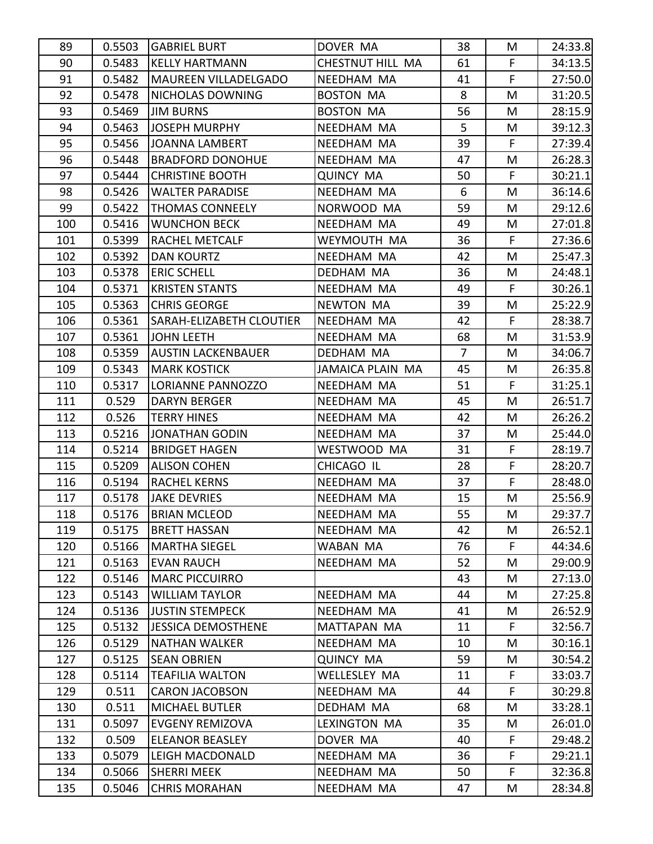| 89  | 0.5503 | <b>GABRIEL BURT</b>         | DOVER MA         | 38             | M  | 24:33.8 |
|-----|--------|-----------------------------|------------------|----------------|----|---------|
| 90  | 0.5483 | <b>KELLY HARTMANN</b>       | CHESTNUT HILL MA | 61             | F  | 34:13.5 |
| 91  | 0.5482 | <b>MAUREEN VILLADELGADO</b> | NEEDHAM MA       | 41             | F  | 27:50.0 |
| 92  | 0.5478 | NICHOLAS DOWNING            | <b>BOSTON MA</b> | 8              | M  | 31:20.5 |
| 93  | 0.5469 | <b>JIM BURNS</b>            | <b>BOSTON MA</b> | 56             | M  | 28:15.9 |
| 94  | 0.5463 | <b>JOSEPH MURPHY</b>        | NEEDHAM MA       | 5              | M  | 39:12.3 |
| 95  | 0.5456 | <b>JOANNA LAMBERT</b>       | NEEDHAM MA       | 39             | F  | 27:39.4 |
| 96  | 0.5448 | <b>BRADFORD DONOHUE</b>     | NEEDHAM MA       | 47             | M  | 26:28.3 |
| 97  | 0.5444 | <b>CHRISTINE BOOTH</b>      | <b>QUINCY MA</b> | 50             | F  | 30:21.1 |
| 98  | 0.5426 | <b>WALTER PARADISE</b>      | NEEDHAM MA       | 6              | M  | 36:14.6 |
| 99  | 0.5422 | <b>THOMAS CONNEELY</b>      | NORWOOD MA       | 59             | M  | 29:12.6 |
| 100 | 0.5416 | <b>WUNCHON BECK</b>         | NEEDHAM MA       | 49             | M  | 27:01.8 |
| 101 | 0.5399 | RACHEL METCALF              | WEYMOUTH MA      | 36             | F. | 27:36.6 |
| 102 | 0.5392 | <b>DAN KOURTZ</b>           | NEEDHAM MA       | 42             | M  | 25:47.3 |
| 103 | 0.5378 | <b>ERIC SCHELL</b>          | DEDHAM MA        | 36             | M  | 24:48.1 |
| 104 | 0.5371 | <b>KRISTEN STANTS</b>       | NEEDHAM MA       | 49             | F  | 30:26.1 |
| 105 | 0.5363 | <b>CHRIS GEORGE</b>         | <b>NEWTON MA</b> | 39             | M  | 25:22.9 |
| 106 | 0.5361 | SARAH-ELIZABETH CLOUTIER    | NEEDHAM MA       | 42             | F. | 28:38.7 |
| 107 | 0.5361 | <b>JOHN LEETH</b>           | NEEDHAM MA       | 68             | M  | 31:53.9 |
| 108 | 0.5359 | <b>AUSTIN LACKENBAUER</b>   | DEDHAM MA        | $\overline{7}$ | M  | 34:06.7 |
| 109 | 0.5343 | <b>MARK KOSTICK</b>         | JAMAICA PLAIN MA | 45             | M  | 26:35.8 |
| 110 | 0.5317 | <b>LORIANNE PANNOZZO</b>    | NEEDHAM MA       | 51             | F  | 31:25.1 |
| 111 | 0.529  | <b>DARYN BERGER</b>         | NEEDHAM MA       | 45             | M  | 26:51.7 |
| 112 | 0.526  | <b>TERRY HINES</b>          | NEEDHAM MA       | 42             | M  | 26:26.2 |
| 113 | 0.5216 | <b>JONATHAN GODIN</b>       | NEEDHAM MA       | 37             | M  | 25:44.0 |
| 114 | 0.5214 | <b>BRIDGET HAGEN</b>        | WESTWOOD MA      | 31             | F  | 28:19.7 |
| 115 | 0.5209 | <b>ALISON COHEN</b>         | CHICAGO IL       | 28             | F  | 28:20.7 |
| 116 | 0.5194 | <b>RACHEL KERNS</b>         | NEEDHAM MA       | 37             | F  | 28:48.0 |
| 117 | 0.5178 | <b>JAKE DEVRIES</b>         | NEEDHAM MA       | 15             | M  | 25:56.9 |
| 118 | 0.5176 | <b>BRIAN MCLEOD</b>         | NEEDHAM MA       | 55             | M  | 29:37.7 |
| 119 | 0.5175 | <b>BRETT HASSAN</b>         | NEEDHAM MA       | 42             | M  | 26:52.1 |
| 120 | 0.5166 | <b>MARTHA SIEGEL</b>        | WABAN MA         | 76             | F. | 44:34.6 |
| 121 | 0.5163 | <b>EVAN RAUCH</b>           | NEEDHAM MA       | 52             | M  | 29:00.9 |
| 122 | 0.5146 | <b>MARC PICCUIRRO</b>       |                  | 43             | M  | 27:13.0 |
| 123 | 0.5143 | <b>WILLIAM TAYLOR</b>       | NEEDHAM MA       | 44             | M  | 27:25.8 |
| 124 | 0.5136 | <b>JUSTIN STEMPECK</b>      | NEEDHAM MA       | 41             | M  | 26:52.9 |
| 125 | 0.5132 | <b>JESSICA DEMOSTHENE</b>   | MATTAPAN MA      | 11             | F. | 32:56.7 |
| 126 | 0.5129 | <b>NATHAN WALKER</b>        | NEEDHAM MA       | 10             | M  | 30:16.1 |
| 127 | 0.5125 | <b>SEAN OBRIEN</b>          | <b>QUINCY MA</b> | 59             | M  | 30:54.2 |
| 128 | 0.5114 | <b>TEAFILIA WALTON</b>      | WELLESLEY MA     | 11             | F. | 33:03.7 |
| 129 | 0.511  | <b>CARON JACOBSON</b>       | NEEDHAM MA       | 44             | F. | 30:29.8 |
|     |        |                             |                  |                |    |         |
| 130 | 0.511  | <b>MICHAEL BUTLER</b>       | DEDHAM MA        | 68             | M  | 33:28.1 |
| 131 | 0.5097 | <b>EVGENY REMIZOVA</b>      | LEXINGTON MA     | 35             | M  | 26:01.0 |
| 132 | 0.509  | <b>ELEANOR BEASLEY</b>      | DOVER MA         | 40             | F  | 29:48.2 |
| 133 | 0.5079 | LEIGH MACDONALD             | NEEDHAM MA       | 36             | F. | 29:21.1 |
| 134 | 0.5066 | <b>SHERRI MEEK</b>          | NEEDHAM MA       | 50             | F  | 32:36.8 |
| 135 | 0.5046 | <b>CHRIS MORAHAN</b>        | NEEDHAM MA       | 47             | M  | 28:34.8 |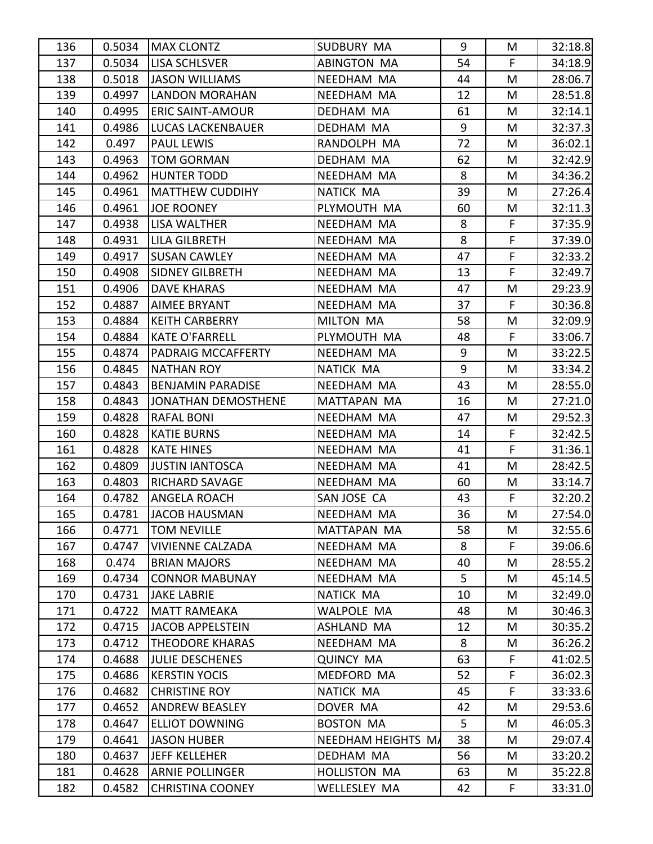| 136 | 0.5034 | <b>MAX CLONTZ</b>          | <b>SUDBURY MA</b>   | 9  | M  | 32:18.8 |
|-----|--------|----------------------------|---------------------|----|----|---------|
| 137 | 0.5034 | <b>LISA SCHLSVER</b>       | ABINGTON MA         | 54 | F  | 34:18.9 |
| 138 | 0.5018 | <b>JASON WILLIAMS</b>      | NEEDHAM MA          | 44 | M  | 28:06.7 |
| 139 | 0.4997 | <b>LANDON MORAHAN</b>      | NEEDHAM MA          | 12 | M  | 28:51.8 |
| 140 | 0.4995 | <b>ERIC SAINT-AMOUR</b>    | DEDHAM MA           | 61 | M  | 32:14.1 |
| 141 | 0.4986 | <b>LUCAS LACKENBAUER</b>   | DEDHAM MA           | 9  | M  | 32:37.3 |
| 142 | 0.497  | <b>PAUL LEWIS</b>          | RANDOLPH MA         | 72 | M  | 36:02.1 |
| 143 | 0.4963 | <b>TOM GORMAN</b>          | DEDHAM MA           | 62 | M  | 32:42.9 |
| 144 | 0.4962 | <b>HUNTER TODD</b>         | NEEDHAM MA          | 8  | M  | 34:36.2 |
| 145 | 0.4961 | <b>MATTHEW CUDDIHY</b>     | <b>NATICK MA</b>    | 39 | M  | 27:26.4 |
| 146 | 0.4961 | <b>JOE ROONEY</b>          | PLYMOUTH MA         | 60 | M  | 32:11.3 |
| 147 | 0.4938 | <b>LISA WALTHER</b>        | NEEDHAM MA          | 8  | F  | 37:35.9 |
| 148 | 0.4931 | <b>LILA GILBRETH</b>       | NEEDHAM MA          | 8  | F  | 37:39.0 |
| 149 | 0.4917 | <b>SUSAN CAWLEY</b>        | NEEDHAM MA          | 47 | F  | 32:33.2 |
| 150 | 0.4908 | <b>SIDNEY GILBRETH</b>     | NEEDHAM MA          | 13 | F  | 32:49.7 |
| 151 | 0.4906 | <b>DAVE KHARAS</b>         | NEEDHAM MA          | 47 | M  | 29:23.9 |
| 152 | 0.4887 | <b>AIMEE BRYANT</b>        | NEEDHAM MA          | 37 | F  | 30:36.8 |
| 153 | 0.4884 | <b>KEITH CARBERRY</b>      | <b>MILTON MA</b>    | 58 | M  | 32:09.9 |
| 154 | 0.4884 | <b>KATE O'FARRELL</b>      | PLYMOUTH MA         | 48 | F  | 33:06.7 |
| 155 | 0.4874 | PADRAIG MCCAFFERTY         | NEEDHAM MA          | 9  | M  | 33:22.5 |
| 156 | 0.4845 | <b>NATHAN ROY</b>          | <b>NATICK MA</b>    | 9  | M  | 33:34.2 |
| 157 | 0.4843 | <b>BENJAMIN PARADISE</b>   | NEEDHAM MA          | 43 | M  | 28:55.0 |
| 158 | 0.4843 | <b>JONATHAN DEMOSTHENE</b> | MATTAPAN MA         | 16 | M  | 27:21.0 |
| 159 | 0.4828 | <b>RAFAL BONI</b>          | NEEDHAM MA          | 47 | M  | 29:52.3 |
| 160 | 0.4828 | <b>KATIE BURNS</b>         | NEEDHAM MA          | 14 | F  | 32:42.5 |
| 161 | 0.4828 | <b>KATE HINES</b>          | NEEDHAM MA          | 41 | F  | 31:36.1 |
| 162 | 0.4809 | <b>JUSTIN IANTOSCA</b>     | NEEDHAM MA          | 41 | M  | 28:42.5 |
| 163 | 0.4803 | <b>RICHARD SAVAGE</b>      | NEEDHAM MA          | 60 | M  | 33:14.7 |
| 164 | 0.4782 | <b>ANGELA ROACH</b>        | SAN JOSE CA         | 43 | F  | 32:20.2 |
| 165 | 0.4781 | <b>JACOB HAUSMAN</b>       | NEEDHAM MA          | 36 | M  | 27:54.0 |
| 166 | 0.4771 | <b>TOM NEVILLE</b>         | MATTAPAN MA         | 58 | M  | 32:55.6 |
| 167 | 0.4747 | <b>VIVIENNE CALZADA</b>    | NEEDHAM MA          | 8  | F. | 39:06.6 |
| 168 | 0.474  | <b>BRIAN MAJORS</b>        | NEEDHAM MA          | 40 | M  | 28:55.2 |
| 169 | 0.4734 | <b>CONNOR MABUNAY</b>      | NEEDHAM MA          | 5  | M  | 45:14.5 |
| 170 | 0.4731 | <b>JAKE LABRIE</b>         | NATICK MA           | 10 | M  | 32:49.0 |
| 171 | 0.4722 | <b>MATT RAMEAKA</b>        | <b>WALPOLE MA</b>   | 48 | M  | 30:46.3 |
| 172 | 0.4715 | <b>JACOB APPELSTEIN</b>    | ASHLAND MA          | 12 | M  | 30:35.2 |
| 173 | 0.4712 | <b>THEODORE KHARAS</b>     | NEEDHAM MA          | 8  | M  | 36:26.2 |
| 174 | 0.4688 | <b>JULIE DESCHENES</b>     | <b>QUINCY MA</b>    | 63 | F. | 41:02.5 |
| 175 | 0.4686 | <b>KERSTIN YOCIS</b>       | MEDFORD MA          | 52 | F. | 36:02.3 |
| 176 | 0.4682 | <b>CHRISTINE ROY</b>       | NATICK MA           | 45 | F. | 33:33.6 |
| 177 | 0.4652 | <b>ANDREW BEASLEY</b>      | DOVER MA            | 42 | M  | 29:53.6 |
| 178 | 0.4647 | <b>ELLIOT DOWNING</b>      | <b>BOSTON MA</b>    | 5  | M  | 46:05.3 |
| 179 | 0.4641 | <b>JASON HUBER</b>         | NEEDHAM HEIGHTS MA  | 38 | M  | 29:07.4 |
| 180 | 0.4637 | <b>JEFF KELLEHER</b>       | DEDHAM MA           | 56 | M  | 33:20.2 |
| 181 | 0.4628 | <b>ARNIE POLLINGER</b>     | <b>HOLLISTON MA</b> | 63 | M  | 35:22.8 |
| 182 | 0.4582 | <b>CHRISTINA COONEY</b>    | WELLESLEY MA        | 42 | F  | 33:31.0 |
|     |        |                            |                     |    |    |         |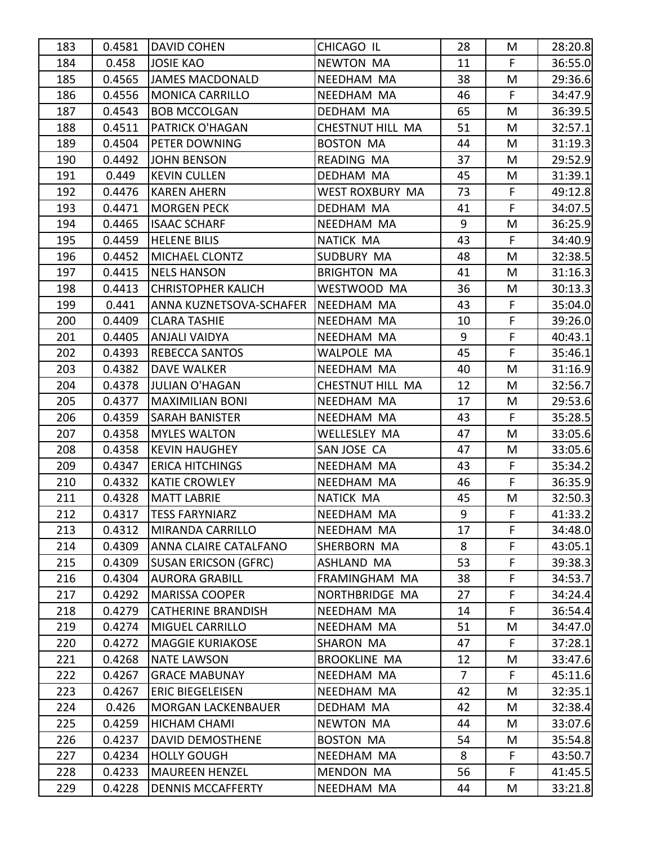| 183 | 0.4581 | <b>DAVID COHEN</b>          | CHICAGO IL             | 28             | M  | 28:20.8 |
|-----|--------|-----------------------------|------------------------|----------------|----|---------|
| 184 | 0.458  | <b>JOSIE KAO</b>            | <b>NEWTON MA</b>       | 11             | F. | 36:55.0 |
| 185 | 0.4565 | <b>JAMES MACDONALD</b>      | NEEDHAM MA             | 38             | M  | 29:36.6 |
| 186 | 0.4556 | <b>MONICA CARRILLO</b>      | NEEDHAM MA             | 46             | F. | 34:47.9 |
| 187 | 0.4543 | <b>BOB MCCOLGAN</b>         | DEDHAM MA              | 65             | M  | 36:39.5 |
| 188 | 0.4511 | PATRICK O'HAGAN             | CHESTNUT HILL MA       | 51             | M  | 32:57.1 |
| 189 | 0.4504 | PETER DOWNING               | <b>BOSTON MA</b>       | 44             | M  | 31:19.3 |
| 190 | 0.4492 | <b>JOHN BENSON</b>          | READING MA             | 37             | M  | 29:52.9 |
| 191 | 0.449  | <b>KEVIN CULLEN</b>         | DEDHAM MA              | 45             | M  | 31:39.1 |
| 192 | 0.4476 | <b>KAREN AHERN</b>          | <b>WEST ROXBURY MA</b> | 73             | F  | 49:12.8 |
| 193 | 0.4471 | <b>MORGEN PECK</b>          | DEDHAM MA              | 41             | F  | 34:07.5 |
| 194 | 0.4465 | <b>ISAAC SCHARF</b>         | NEEDHAM MA             | 9              | M  | 36:25.9 |
| 195 | 0.4459 | <b>HELENE BILIS</b>         | NATICK MA              | 43             | F. | 34:40.9 |
| 196 | 0.4452 | MICHAEL CLONTZ              | <b>SUDBURY MA</b>      | 48             | M  | 32:38.5 |
| 197 | 0.4415 | <b>NELS HANSON</b>          | <b>BRIGHTON MA</b>     | 41             | M  | 31:16.3 |
| 198 | 0.4413 | <b>CHRISTOPHER KALICH</b>   | WESTWOOD MA            | 36             | M  | 30:13.3 |
| 199 | 0.441  | ANNA KUZNETSOVA-SCHAFER     | NEEDHAM MA             | 43             | F. | 35:04.0 |
| 200 | 0.4409 | <b>CLARA TASHIE</b>         | NEEDHAM MA             | 10             | F  | 39:26.0 |
| 201 | 0.4405 | <b>ANJALI VAIDYA</b>        | NEEDHAM MA             | 9              | F. | 40:43.1 |
| 202 | 0.4393 | <b>REBECCA SANTOS</b>       | WALPOLE MA             | 45             | F. | 35:46.1 |
| 203 | 0.4382 | DAVE WALKER                 | NEEDHAM MA             | 40             | M  | 31:16.9 |
| 204 | 0.4378 | <b>JULIAN O'HAGAN</b>       | CHESTNUT HILL MA       | 12             | M  | 32:56.7 |
| 205 | 0.4377 | <b>MAXIMILIAN BONI</b>      | NEEDHAM MA             | 17             | M  | 29:53.6 |
| 206 | 0.4359 | <b>SARAH BANISTER</b>       | NEEDHAM MA             | 43             | F. | 35:28.5 |
| 207 | 0.4358 | <b>MYLES WALTON</b>         | <b>WELLESLEY MA</b>    | 47             | M  | 33:05.6 |
| 208 | 0.4358 | <b>KEVIN HAUGHEY</b>        | SAN JOSE CA            | 47             | M  | 33:05.6 |
| 209 | 0.4347 | <b>ERICA HITCHINGS</b>      | NEEDHAM MA             | 43             | F. | 35:34.2 |
| 210 | 0.4332 | <b>KATIE CROWLEY</b>        | NEEDHAM MA             | 46             | F  | 36:35.9 |
| 211 | 0.4328 | <b>MATT LABRIE</b>          | NATICK MA              | 45             | M  | 32:50.3 |
| 212 | 0.4317 | <b>TESS FARYNIARZ</b>       | NEEDHAM MA             | 9              | F  | 41:33.2 |
| 213 | 0.4312 | MIRANDA CARRILLO            | NEEDHAM MA             | 17             | F. | 34:48.0 |
| 214 | 0.4309 | ANNA CLAIRE CATALFANO       | SHERBORN MA            | 8              | F  | 43:05.1 |
| 215 | 0.4309 | <b>SUSAN ERICSON (GFRC)</b> | ASHLAND MA             | 53             | F. | 39:38.3 |
| 216 | 0.4304 | <b>AURORA GRABILL</b>       | FRAMINGHAM MA          | 38             | F  | 34:53.7 |
| 217 | 0.4292 | <b>MARISSA COOPER</b>       | NORTHBRIDGE MA         | 27             | F  | 34:24.4 |
| 218 | 0.4279 | <b>CATHERINE BRANDISH</b>   | NEEDHAM MA             | 14             | F. | 36:54.4 |
| 219 | 0.4274 | MIGUEL CARRILLO             | NEEDHAM MA             | 51             | M  | 34:47.0 |
| 220 | 0.4272 | <b>MAGGIE KURIAKOSE</b>     | SHARON MA              | 47             | F. | 37:28.1 |
| 221 | 0.4268 | <b>NATE LAWSON</b>          | <b>BROOKLINE MA</b>    | 12             | M  | 33:47.6 |
| 222 | 0.4267 | <b>GRACE MABUNAY</b>        | NEEDHAM MA             | $\overline{7}$ | F. | 45:11.6 |
| 223 | 0.4267 | <b>ERIC BIEGELEISEN</b>     | NEEDHAM MA             | 42             | M  | 32:35.1 |
| 224 | 0.426  | <b>MORGAN LACKENBAUER</b>   | DEDHAM MA              | 42             | M  | 32:38.4 |
| 225 | 0.4259 | <b>HICHAM CHAMI</b>         | NEWTON MA              | 44             | M  | 33:07.6 |
| 226 | 0.4237 | <b>DAVID DEMOSTHENE</b>     | <b>BOSTON MA</b>       | 54             | M  | 35:54.8 |
| 227 | 0.4234 | <b>HOLLY GOUGH</b>          | NEEDHAM MA             | 8              | F. | 43:50.7 |
| 228 | 0.4233 | <b>MAUREEN HENZEL</b>       | <b>MENDON MA</b>       | 56             | F. | 41:45.5 |
| 229 | 0.4228 | <b>DENNIS MCCAFFERTY</b>    | NEEDHAM MA             | 44             | M  | 33:21.8 |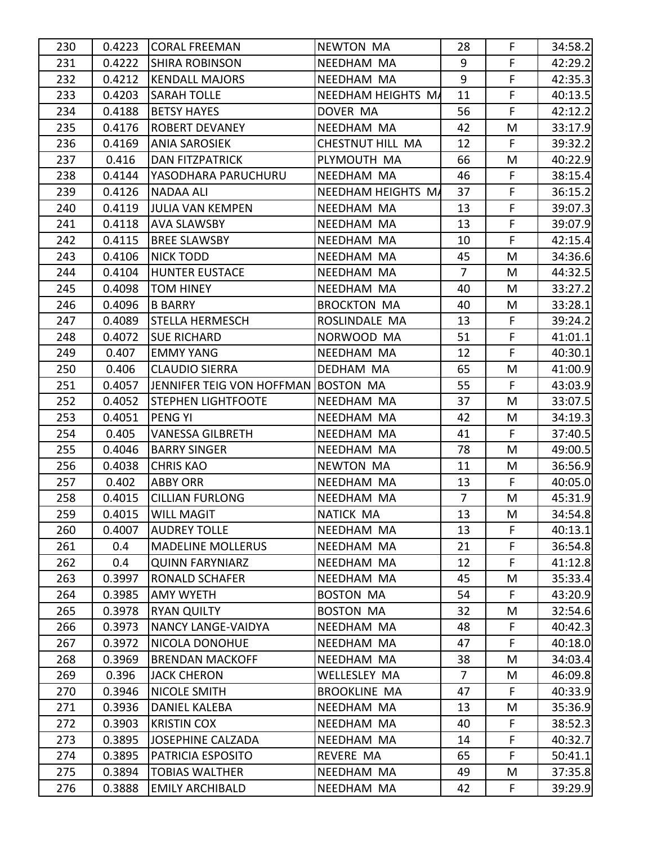| 230 | 0.4223 | <b>CORAL FREEMAN</b>                | <b>NEWTON MA</b>    | 28             | F. | 34:58.2 |
|-----|--------|-------------------------------------|---------------------|----------------|----|---------|
| 231 | 0.4222 | <b>SHIRA ROBINSON</b>               | NEEDHAM MA          | 9              | F  | 42:29.2 |
| 232 | 0.4212 | <b>KENDALL MAJORS</b>               | NEEDHAM MA          | 9              | F  | 42:35.3 |
| 233 | 0.4203 | <b>SARAH TOLLE</b>                  | NEEDHAM HEIGHTS MA  | 11             | F  | 40:13.5 |
| 234 | 0.4188 | <b>BETSY HAYES</b>                  | DOVER MA            | 56             | F  | 42:12.2 |
| 235 | 0.4176 | <b>ROBERT DEVANEY</b>               | NEEDHAM MA          | 42             | M  | 33:17.9 |
| 236 | 0.4169 | <b>ANIA SAROSIEK</b>                | CHESTNUT HILL MA    | 12             | F  | 39:32.2 |
| 237 | 0.416  | <b>DAN FITZPATRICK</b>              | PLYMOUTH MA         | 66             | M  | 40:22.9 |
| 238 | 0.4144 | YASODHARA PARUCHURU                 | NEEDHAM MA          | 46             | F  | 38:15.4 |
| 239 | 0.4126 | <b>NADAA ALI</b>                    | NEEDHAM HEIGHTS MA  | 37             | F  | 36:15.2 |
| 240 | 0.4119 | <b>JULIA VAN KEMPEN</b>             | NEEDHAM MA          | 13             | F  | 39:07.3 |
| 241 | 0.4118 | <b>AVA SLAWSBY</b>                  | NEEDHAM MA          | 13             | F  | 39:07.9 |
| 242 | 0.4115 | <b>BREE SLAWSBY</b>                 | NEEDHAM MA          | 10             | F  | 42:15.4 |
| 243 | 0.4106 | <b>NICK TODD</b>                    | NEEDHAM MA          | 45             | M  | 34:36.6 |
| 244 | 0.4104 | <b>HUNTER EUSTACE</b>               | NEEDHAM MA          | $\overline{7}$ | M  | 44:32.5 |
| 245 | 0.4098 | <b>TOM HINEY</b>                    | NEEDHAM MA          | 40             | M  | 33:27.2 |
| 246 | 0.4096 | <b>B BARRY</b>                      | <b>BROCKTON MA</b>  | 40             | M  | 33:28.1 |
| 247 | 0.4089 | <b>STELLA HERMESCH</b>              | ROSLINDALE MA       | 13             | F  | 39:24.2 |
| 248 | 0.4072 | <b>SUE RICHARD</b>                  | NORWOOD MA          | 51             | F  | 41:01.1 |
| 249 | 0.407  | <b>EMMY YANG</b>                    | NEEDHAM MA          | 12             | F  | 40:30.1 |
| 250 | 0.406  | <b>CLAUDIO SIERRA</b>               | DEDHAM MA           | 65             | M  | 41:00.9 |
| 251 | 0.4057 | JENNIFER TEIG VON HOFFMAN BOSTON MA |                     | 55             | F  | 43:03.9 |
| 252 | 0.4052 | <b>STEPHEN LIGHTFOOTE</b>           | NEEDHAM MA          | 37             | M  | 33:07.5 |
| 253 | 0.4051 | <b>PENG YI</b>                      | NEEDHAM MA          | 42             | M  | 34:19.3 |
| 254 | 0.405  | <b>VANESSA GILBRETH</b>             | NEEDHAM MA          | 41             | F  | 37:40.5 |
| 255 | 0.4046 | <b>BARRY SINGER</b>                 | NEEDHAM MA          | 78             | M  | 49:00.5 |
| 256 | 0.4038 | <b>CHRIS KAO</b>                    | <b>NEWTON MA</b>    | 11             | M  | 36:56.9 |
| 257 | 0.402  | <b>ABBY ORR</b>                     | NEEDHAM MA          | 13             | F  | 40:05.0 |
| 258 | 0.4015 | <b>CILLIAN FURLONG</b>              | NEEDHAM MA          | $\overline{7}$ | M  | 45:31.9 |
| 259 | 0.4015 | <b>WILL MAGIT</b>                   | <b>NATICK MA</b>    | 13             | M  | 34:54.8 |
| 260 | 0.4007 | <b>AUDREY TOLLE</b>                 | NEEDHAM MA          | 13             | F. | 40:13.1 |
| 261 | 0.4    | <b>MADELINE MOLLERUS</b>            | NEEDHAM MA          | 21             | F. | 36:54.8 |
| 262 | 0.4    | <b>QUINN FARYNIARZ</b>              | NEEDHAM MA          | 12             | F  | 41:12.8 |
| 263 | 0.3997 | <b>RONALD SCHAFER</b>               | NEEDHAM MA          | 45             | M  | 35:33.4 |
| 264 | 0.3985 | <b>AMY WYETH</b>                    | <b>BOSTON MA</b>    | 54             | F. | 43:20.9 |
| 265 | 0.3978 | <b>RYAN QUILTY</b>                  | <b>BOSTON MA</b>    | 32             | M  | 32:54.6 |
| 266 | 0.3973 | <b>NANCY LANGE-VAIDYA</b>           | NEEDHAM MA          | 48             | F. | 40:42.3 |
| 267 | 0.3972 | NICOLA DONOHUE                      | NEEDHAM MA          | 47             | F. | 40:18.0 |
| 268 | 0.3969 | <b>BRENDAN MACKOFF</b>              | NEEDHAM MA          | 38             | M  | 34:03.4 |
| 269 | 0.396  | <b>JACK CHERON</b>                  | WELLESLEY MA        | $\overline{7}$ | M  | 46:09.8 |
| 270 | 0.3946 | NICOLE SMITH                        | <b>BROOKLINE MA</b> | 47             | F. | 40:33.9 |
| 271 | 0.3936 | <b>DANIEL KALEBA</b>                | NEEDHAM MA          | 13             | M  | 35:36.9 |
| 272 | 0.3903 | <b>KRISTIN COX</b>                  | NEEDHAM MA          | 40             | F. | 38:52.3 |
| 273 | 0.3895 | <b>JOSEPHINE CALZADA</b>            | NEEDHAM MA          | 14             | F  | 40:32.7 |
| 274 | 0.3895 | PATRICIA ESPOSITO                   | REVERE MA           | 65             | F. | 50:41.1 |
| 275 | 0.3894 | <b>TOBIAS WALTHER</b>               | NEEDHAM MA          | 49             | M  | 37:35.8 |
| 276 | 0.3888 | <b>EMILY ARCHIBALD</b>              | NEEDHAM MA          | 42             | F  | 39:29.9 |
|     |        |                                     |                     |                |    |         |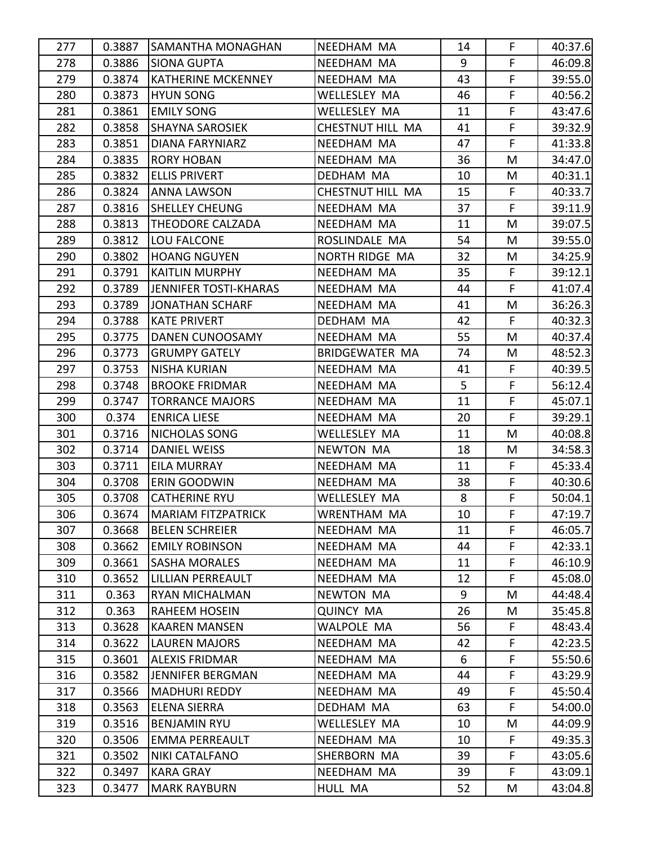| 277 | 0.3887 | SAMANTHA MONAGHAN            | NEEDHAM MA            | 14 | F. | 40:37.6 |
|-----|--------|------------------------------|-----------------------|----|----|---------|
| 278 | 0.3886 | <b>SIONA GUPTA</b>           | NEEDHAM MA            | 9  | F  | 46:09.8 |
| 279 | 0.3874 | <b>KATHERINE MCKENNEY</b>    | NEEDHAM MA            | 43 | F  | 39:55.0 |
| 280 | 0.3873 | <b>HYUN SONG</b>             | WELLESLEY MA          | 46 | F  | 40:56.2 |
| 281 | 0.3861 | <b>EMILY SONG</b>            | WELLESLEY MA          | 11 | F  | 43:47.6 |
| 282 | 0.3858 | <b>SHAYNA SAROSIEK</b>       | CHESTNUT HILL MA      | 41 | F  | 39:32.9 |
| 283 | 0.3851 | <b>DIANA FARYNIARZ</b>       | NEEDHAM MA            | 47 | F  | 41:33.8 |
| 284 | 0.3835 | <b>RORY HOBAN</b>            | NEEDHAM MA            | 36 | M  | 34:47.0 |
| 285 | 0.3832 | <b>ELLIS PRIVERT</b>         | DEDHAM MA             | 10 | M  | 40:31.1 |
| 286 | 0.3824 | <b>ANNA LAWSON</b>           | CHESTNUT HILL MA      | 15 | F. | 40:33.7 |
| 287 | 0.3816 | <b>SHELLEY CHEUNG</b>        | NEEDHAM MA            | 37 | F. | 39:11.9 |
| 288 | 0.3813 | THEODORE CALZADA             | NEEDHAM MA            | 11 | M  | 39:07.5 |
| 289 | 0.3812 | LOU FALCONE                  | ROSLINDALE MA         | 54 | M  | 39:55.0 |
| 290 | 0.3802 | <b>HOANG NGUYEN</b>          | NORTH RIDGE MA        | 32 | M  | 34:25.9 |
| 291 | 0.3791 | <b>KAITLIN MURPHY</b>        | NEEDHAM MA            | 35 | F. | 39:12.1 |
| 292 | 0.3789 | <b>JENNIFER TOSTI-KHARAS</b> | NEEDHAM MA            | 44 | F. | 41:07.4 |
| 293 | 0.3789 | <b>JONATHAN SCHARF</b>       | NEEDHAM MA            | 41 | M  | 36:26.3 |
| 294 | 0.3788 | <b>KATE PRIVERT</b>          | DEDHAM MA             | 42 | F. | 40:32.3 |
| 295 | 0.3775 | <b>DANEN CUNOOSAMY</b>       | NEEDHAM MA            | 55 | M  | 40:37.4 |
| 296 | 0.3773 | <b>GRUMPY GATELY</b>         | <b>BRIDGEWATER MA</b> | 74 | M  | 48:52.3 |
| 297 | 0.3753 | <b>NISHA KURIAN</b>          | NEEDHAM MA            | 41 | F. | 40:39.5 |
| 298 | 0.3748 | <b>BROOKE FRIDMAR</b>        | NEEDHAM MA            | 5  | F  | 56:12.4 |
| 299 | 0.3747 | <b>TORRANCE MAJORS</b>       | NEEDHAM MA            | 11 | F. | 45:07.1 |
| 300 | 0.374  | <b>ENRICA LIESE</b>          | NEEDHAM MA            | 20 | F  | 39:29.1 |
| 301 | 0.3716 | NICHOLAS SONG                | WELLESLEY MA          | 11 | M  | 40:08.8 |
| 302 | 0.3714 | <b>DANIEL WEISS</b>          | <b>NEWTON MA</b>      | 18 | M  | 34:58.3 |
| 303 | 0.3711 | <b>EILA MURRAY</b>           | NEEDHAM MA            | 11 | F  | 45:33.4 |
| 304 | 0.3708 | ERIN GOODWIN                 | NEEDHAM MA            | 38 | F  | 40:30.6 |
| 305 | 0.3708 | <b>CATHERINE RYU</b>         | <b>WELLESLEY MA</b>   | 8  | F. | 50:04.1 |
| 306 | 0.3674 | <b>MARIAM FITZPATRICK</b>    | WRENTHAM MA           | 10 | F  | 47:19.7 |
| 307 | 0.3668 | <b>BELEN SCHREIER</b>        | NEEDHAM MA            | 11 | F. | 46:05.7 |
| 308 | 0.3662 | <b>EMILY ROBINSON</b>        | NEEDHAM MA            | 44 | F  | 42:33.1 |
| 309 | 0.3661 | <b>SASHA MORALES</b>         | NEEDHAM MA            | 11 | F  | 46:10.9 |
| 310 | 0.3652 | <b>LILLIAN PERREAULT</b>     | NEEDHAM MA            | 12 | F  | 45:08.0 |
| 311 | 0.363  | <b>RYAN MICHALMAN</b>        | <b>NEWTON MA</b>      | 9  | M  | 44:48.4 |
| 312 | 0.363  | <b>RAHEEM HOSEIN</b>         | <b>QUINCY MA</b>      | 26 | M  | 35:45.8 |
| 313 | 0.3628 | <b>KAAREN MANSEN</b>         | <b>WALPOLE MA</b>     | 56 | F  | 48:43.4 |
| 314 | 0.3622 | <b>LAUREN MAJORS</b>         | NEEDHAM MA            | 42 | F  | 42:23.5 |
| 315 | 0.3601 | <b>ALEXIS FRIDMAR</b>        | NEEDHAM MA            | 6  | F  | 55:50.6 |
| 316 | 0.3582 | <b>JENNIFER BERGMAN</b>      | NEEDHAM MA            | 44 | F. | 43:29.9 |
| 317 | 0.3566 | <b>MADHURI REDDY</b>         | NEEDHAM MA            | 49 | F  | 45:50.4 |
| 318 | 0.3563 | <b>ELENA SIERRA</b>          | DEDHAM MA             | 63 | F. | 54:00.0 |
| 319 | 0.3516 | <b>BENJAMIN RYU</b>          | WELLESLEY MA          | 10 | M  | 44:09.9 |
| 320 | 0.3506 | <b>EMMA PERREAULT</b>        | NEEDHAM MA            | 10 | F. | 49:35.3 |
| 321 | 0.3502 | NIKI CATALFANO               | SHERBORN MA           | 39 | F. | 43:05.6 |
| 322 | 0.3497 | <b>KARA GRAY</b>             | NEEDHAM MA            | 39 | F. | 43:09.1 |
| 323 | 0.3477 | <b>MARK RAYBURN</b>          | HULL MA               | 52 | M  | 43:04.8 |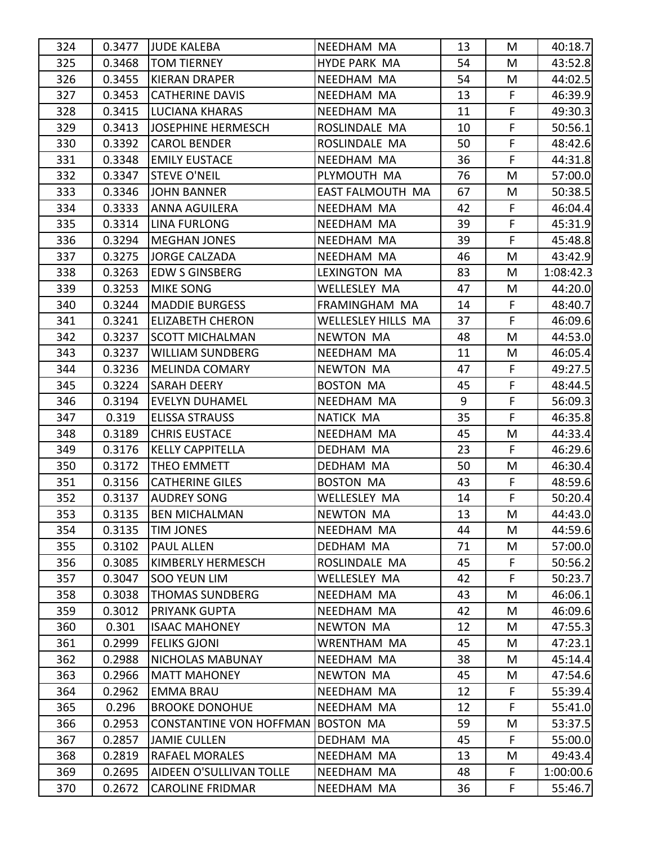| 324 | 0.3477 | <b>JUDE KALEBA</b>                | NEEDHAM MA                | 13 | M  | 40:18.7   |
|-----|--------|-----------------------------------|---------------------------|----|----|-----------|
| 325 | 0.3468 | <b>TOM TIERNEY</b>                | <b>HYDE PARK MA</b>       | 54 | M  | 43:52.8   |
| 326 | 0.3455 | <b>KIERAN DRAPER</b>              | NEEDHAM MA                | 54 | M  | 44:02.5   |
| 327 | 0.3453 | <b>CATHERINE DAVIS</b>            | NEEDHAM MA                | 13 | F  | 46:39.9   |
| 328 | 0.3415 | LUCIANA KHARAS                    | NEEDHAM MA                | 11 | F  | 49:30.3   |
| 329 | 0.3413 | <b>JOSEPHINE HERMESCH</b>         | ROSLINDALE MA             | 10 | F  | 50:56.1   |
| 330 | 0.3392 | <b>CAROL BENDER</b>               | ROSLINDALE MA             | 50 | F  | 48:42.6   |
| 331 | 0.3348 | <b>EMILY EUSTACE</b>              | NEEDHAM MA                | 36 | F  | 44:31.8   |
| 332 | 0.3347 | <b>STEVE O'NEIL</b>               | PLYMOUTH MA               | 76 | M  | 57:00.0   |
| 333 | 0.3346 | <b>JOHN BANNER</b>                | EAST FALMOUTH MA          | 67 | M  | 50:38.5   |
| 334 | 0.3333 | <b>ANNA AGUILERA</b>              | NEEDHAM MA                | 42 | F  | 46:04.4   |
| 335 | 0.3314 | <b>LINA FURLONG</b>               | NEEDHAM MA                | 39 | F  | 45:31.9   |
| 336 | 0.3294 | <b>MEGHAN JONES</b>               | NEEDHAM MA                | 39 | F. | 45:48.8   |
| 337 | 0.3275 | <b>JORGE CALZADA</b>              | NEEDHAM MA                | 46 | M  | 43:42.9   |
| 338 | 0.3263 | <b>EDW S GINSBERG</b>             | LEXINGTON MA              | 83 | M  | 1:08:42.3 |
| 339 | 0.3253 | <b>MIKE SONG</b>                  | WELLESLEY MA              | 47 | M  | 44:20.0   |
| 340 | 0.3244 | <b>MADDIE BURGESS</b>             | FRAMINGHAM MA             | 14 | F. | 48:40.7   |
| 341 | 0.3241 | <b>ELIZABETH CHERON</b>           | <b>WELLESLEY HILLS MA</b> | 37 | F. | 46:09.6   |
| 342 | 0.3237 | <b>SCOTT MICHALMAN</b>            | <b>NEWTON MA</b>          | 48 | M  | 44:53.0   |
| 343 | 0.3237 | <b>WILLIAM SUNDBERG</b>           | NEEDHAM MA                | 11 | M  | 46:05.4   |
| 344 | 0.3236 | <b>MELINDA COMARY</b>             | <b>NEWTON MA</b>          | 47 | F. | 49:27.5   |
| 345 | 0.3224 | <b>SARAH DEERY</b>                | <b>BOSTON MA</b>          | 45 | F  | 48:44.5   |
| 346 | 0.3194 | <b>EVELYN DUHAMEL</b>             | NEEDHAM MA                | 9  | F  | 56:09.3   |
| 347 | 0.319  | <b>ELISSA STRAUSS</b>             | NATICK MA                 | 35 | F  | 46:35.8   |
| 348 | 0.3189 | <b>CHRIS EUSTACE</b>              | NEEDHAM MA                | 45 | M  | 44:33.4   |
| 349 | 0.3176 | <b>KELLY CAPPITELLA</b>           | DEDHAM MA                 | 23 | F  | 46:29.6   |
| 350 | 0.3172 | <b>THEO EMMETT</b>                | DEDHAM MA                 | 50 | M  | 46:30.4   |
| 351 | 0.3156 | <b>CATHERINE GILES</b>            | <b>BOSTON MA</b>          | 43 | F  | 48:59.6   |
| 352 | 0.3137 | <b>AUDREY SONG</b>                | WELLESLEY MA              | 14 | F  | 50:20.4   |
| 353 | 0.3135 | <b>BEN MICHALMAN</b>              | <b>NEWTON MA</b>          | 13 | M  | 44:43.0   |
| 354 | 0.3135 | <b>TIM JONES</b>                  | NEEDHAM MA                | 44 | M  | 44:59.6   |
| 355 | 0.3102 | <b>PAUL ALLEN</b>                 | DEDHAM MA                 | 71 | M  | 57:00.0   |
| 356 | 0.3085 | KIMBERLY HERMESCH                 | ROSLINDALE MA             | 45 | F  | 50:56.2   |
| 357 | 0.3047 | <b>SOO YEUN LIM</b>               | <b>WELLESLEY MA</b>       | 42 | F  | 50:23.7   |
| 358 | 0.3038 | <b>THOMAS SUNDBERG</b>            | NEEDHAM MA                | 43 | M  | 46:06.1   |
| 359 | 0.3012 | <b>PRIYANK GUPTA</b>              | NEEDHAM MA                | 42 | M  | 46:09.6   |
| 360 | 0.301  | <b>ISAAC MAHONEY</b>              | <b>NEWTON MA</b>          | 12 | M  | 47:55.3   |
| 361 | 0.2999 | FELIKS GJONI                      | WRENTHAM MA               | 45 | M  | 47:23.1   |
| 362 | 0.2988 | <b>NICHOLAS MABUNAY</b>           | NEEDHAM MA                | 38 | M  | 45:14.4   |
| 363 | 0.2966 | <b>MATT MAHONEY</b>               | <b>NEWTON MA</b>          | 45 | M  | 47:54.6   |
| 364 | 0.2962 | <b>EMMA BRAU</b>                  | NEEDHAM MA                | 12 | F  | 55:39.4   |
| 365 | 0.296  | <b>BROOKE DONOHUE</b>             | NEEDHAM MA                | 12 | F  | 55:41.0   |
| 366 | 0.2953 | CONSTANTINE VON HOFFMAN BOSTON MA |                           | 59 | M  | 53:37.5   |
| 367 | 0.2857 | <b>JAMIE CULLEN</b>               | DEDHAM MA                 | 45 | F. | 55:00.0   |
| 368 | 0.2819 | <b>RAFAEL MORALES</b>             | NEEDHAM MA                | 13 | M  | 49:43.4   |
| 369 | 0.2695 | AIDEEN O'SULLIVAN TOLLE           | NEEDHAM MA                | 48 | F. | 1:00:00.6 |
| 370 | 0.2672 | <b>CAROLINE FRIDMAR</b>           | NEEDHAM MA                | 36 | F. | 55:46.7   |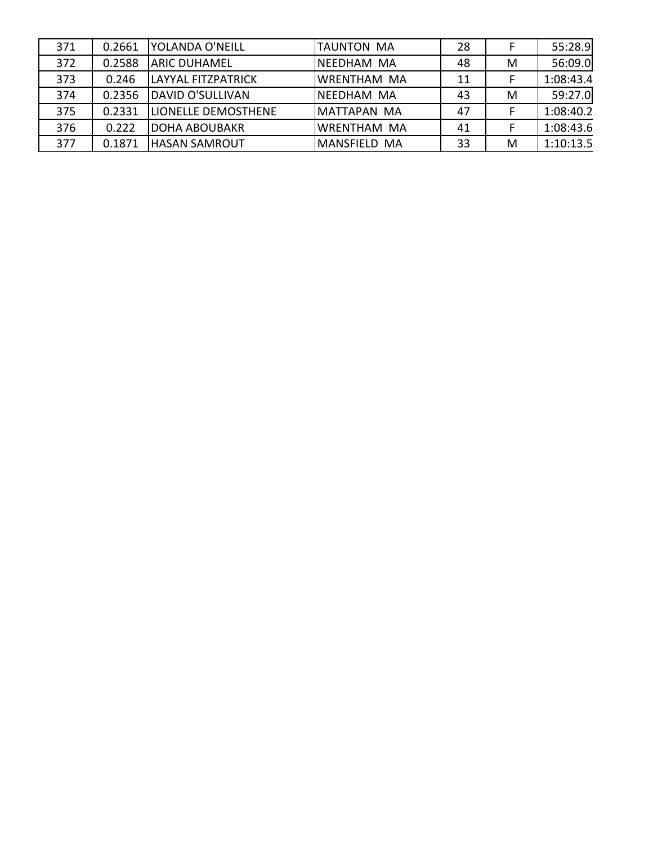| 371 | 0.2661 | <b>YOLANDA O'NEILL</b> | TAUNTON MA          | 28 |   | 55:28.9   |
|-----|--------|------------------------|---------------------|----|---|-----------|
| 372 | 0.2588 | <b>ARIC DUHAMEL</b>    | <b>NEEDHAM MA</b>   | 48 | M | 56:09.0   |
| 373 | 0.246  | LAYYAL FITZPATRICK     | <b>WRENTHAM MA</b>  | 11 |   | 1:08:43.4 |
| 374 | 0.2356 | DAVID O'SULLIVAN       | NFFDHAM MA          | 43 | M | 59:27.0   |
| 375 | 0.2331 | LIONELLE DEMOSTHENE    | lmattapan ma        | 47 |   | 1:08:40.2 |
| 376 | 0.222  | IDOHA ABOUBAKR         | WRFNTHAM MA         | 41 |   | 1:08:43.6 |
| 377 | 0.1871 | <b>HASAN SAMROUT</b>   | <b>MANSFIELD MA</b> | 33 | M | 1:10:13.5 |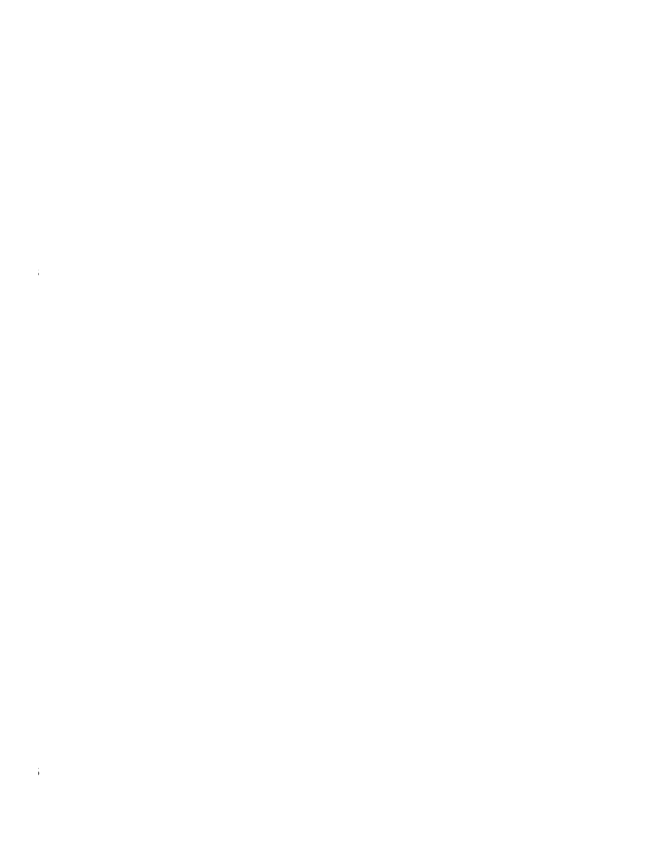$\mathcal{A}=\{x_1,\ldots,x_n\}$  ,  $\mathcal{A}=\{x_1,\ldots,x_n\}$ 

 $\hat{\mathbf{a}}$  and  $\hat{\mathbf{a}}$  and  $\hat{\mathbf{a}}$